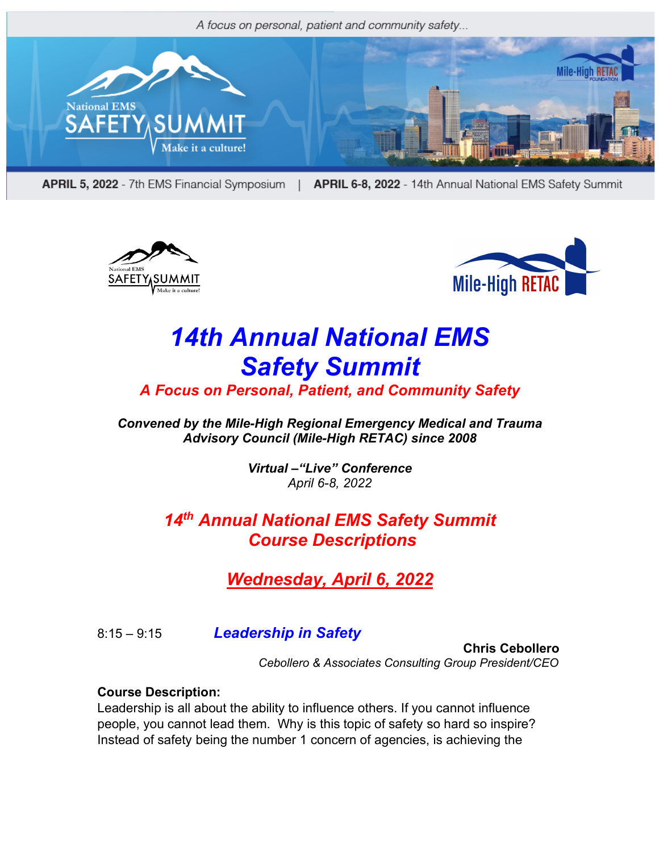

APRIL 5, 2022 - 7th EMS Financial Symposium | APRIL 6-8, 2022 - 14th Annual National EMS Safety Summit





# *14th Annual National EMS Safety Summit*

*A Focus on Personal, Patient, and Community Safety*

*Convened by the Mile-High Regional Emergency Medical and Trauma Advisory Council (Mile-High RETAC) since 2008*

> *Virtual –"Live" Conference April 6-8, 2022*

# *14th Annual National EMS Safety Summit Course Descriptions*

*Wednesday, April 6, 2022*

8:15 – 9:15 *Leadership in Safety*

 **Chris Cebollero** *Cebollero & Associates Consulting Group President/CEO*

#### **Course Description:**

Leadership is all about the ability to influence others. If you cannot influence people, you cannot lead them. Why is this topic of safety so hard so inspire? Instead of safety being the number 1 concern of agencies, is achieving the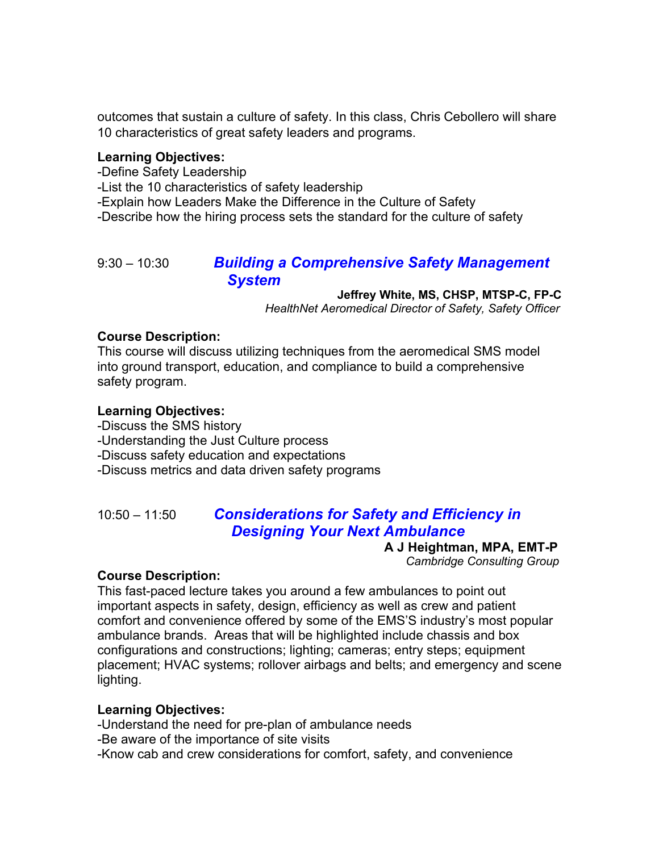outcomes that sustain a culture of safety. In this class, Chris Cebollero will share 10 characteristics of great safety leaders and programs.

#### **Learning Objectives:**

-Define Safety Leadership

-List the 10 characteristics of safety leadership

-Explain how Leaders Make the Difference in the Culture of Safety

-Describe how the hiring process sets the standard for the culture of safety

### 9:30 – 10:30 *Building a Comprehensive Safety Management System*

#### **Jeffrey White, MS, CHSP, MTSP-C, FP-C**

 *HealthNet Aeromedical Director of Safety, Safety Officer* 

#### **Course Description:**

This course will discuss utilizing techniques from the aeromedical SMS model into ground transport, education, and compliance to build a comprehensive safety program.

#### **Learning Objectives:**

-Discuss the SMS history

-Understanding the Just Culture process

-Discuss safety education and expectations

-Discuss metrics and data driven safety programs

# 10:50 – 11:50 *Considerations for Safety and Efficiency in Designing Your Next Ambulance*

 **A J Heightman, MPA, EMT-P**  *Cambridge Consulting Group*

#### **Course Description:**

This fast-paced lecture takes you around a few ambulances to point out important aspects in safety, design, efficiency as well as crew and patient comfort and convenience offered by some of the EMS'S industry's most popular ambulance brands. Areas that will be highlighted include chassis and box configurations and constructions; lighting; cameras; entry steps; equipment placement; HVAC systems; rollover airbags and belts; and emergency and scene lighting.

#### **Learning Objectives:**

-Understand the need for pre-plan of ambulance needs

-Be aware of the importance of site visits

-Know cab and crew considerations for comfort, safety, and convenience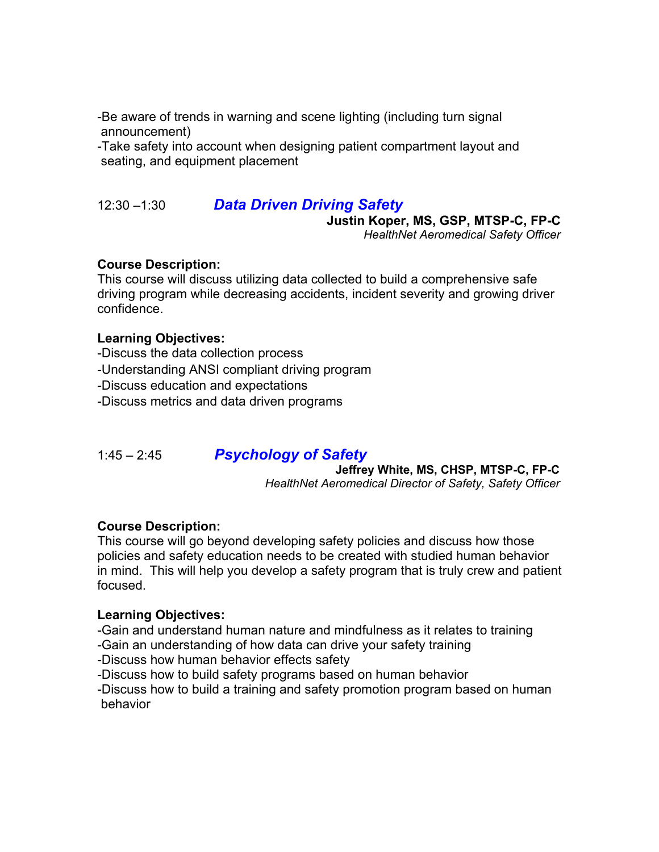-Be aware of trends in warning and scene lighting (including turn signal announcement)

-Take safety into account when designing patient compartment layout and seating, and equipment placement

#### 12:30 –1:30 *Data Driven Driving Safety*

#### **Justin Koper, MS, GSP, MTSP-C, FP-C**

 *HealthNet Aeromedical Safety Officer*

#### **Course Description:**

This course will discuss utilizing data collected to build a comprehensive safe driving program while decreasing accidents, incident severity and growing driver confidence.

#### **Learning Objectives:**

-Discuss the data collection process -Understanding ANSI compliant driving program -Discuss education and expectations -Discuss metrics and data driven programs

#### 1:45 – 2:45 *Psychology of Safety*

#### **Jeffrey White, MS, CHSP, MTSP-C, FP-C**

 *HealthNet Aeromedical Director of Safety, Safety Officer* 

#### **Course Description:**

This course will go beyond developing safety policies and discuss how those policies and safety education needs to be created with studied human behavior in mind. This will help you develop a safety program that is truly crew and patient focused.

#### **Learning Objectives:**

- -Gain and understand human nature and mindfulness as it relates to training
- -Gain an understanding of how data can drive your safety training
- -Discuss how human behavior effects safety
- -Discuss how to build safety programs based on human behavior

-Discuss how to build a training and safety promotion program based on human behavior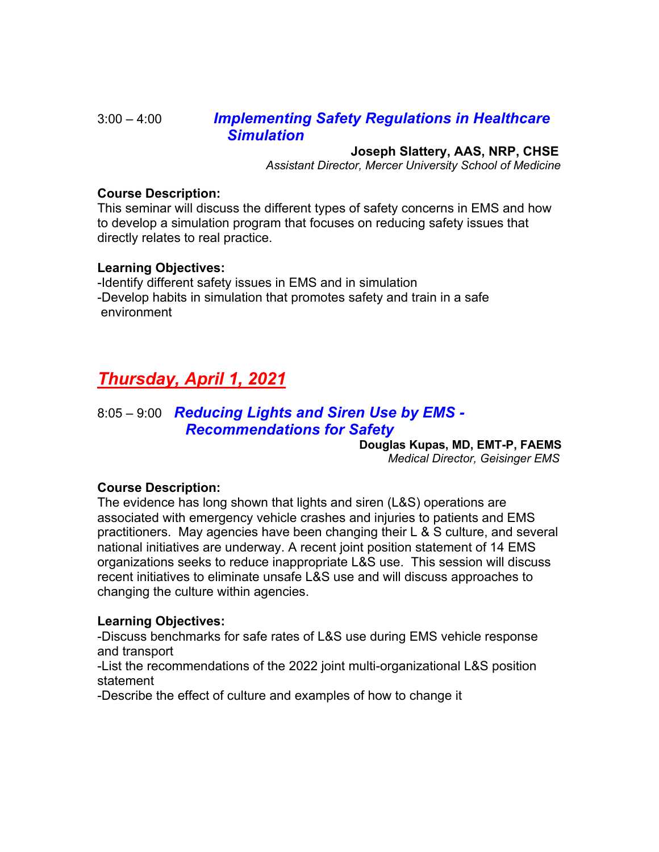#### 3:00 – 4:00 *Implementing Safety Regulations in Healthcare Simulation*

#### **Joseph Slattery, AAS, NRP, CHSE**

*Assistant Director, Mercer University School of Medicine* 

#### **Course Description:**

This seminar will discuss the different types of safety concerns in EMS and how to develop a simulation program that focuses on reducing safety issues that directly relates to real practice.

#### **Learning Objectives:**

-Identify different safety issues in EMS and in simulation -Develop habits in simulation that promotes safety and train in a safe environment

# *Thursday, April 1, 2021*

### 8:05 – 9:00 *Reducing Lights and Siren Use by EMS - Recommendations for Safety*

**Douglas Kupas, MD, EMT-P, FAEMS**

*Medical Director, Geisinger EMS*

#### **Course Description:**

The evidence has long shown that lights and siren (L&S) operations are associated with emergency vehicle crashes and injuries to patients and EMS practitioners. May agencies have been changing their L & S culture, and several national initiatives are underway. A recent joint position statement of 14 EMS organizations seeks to reduce inappropriate L&S use. This session will discuss recent initiatives to eliminate unsafe L&S use and will discuss approaches to changing the culture within agencies.

#### **Learning Objectives:**

-Discuss benchmarks for safe rates of L&S use during EMS vehicle response and transport

-List the recommendations of the 2022 joint multi-organizational L&S position statement

-Describe the effect of culture and examples of how to change it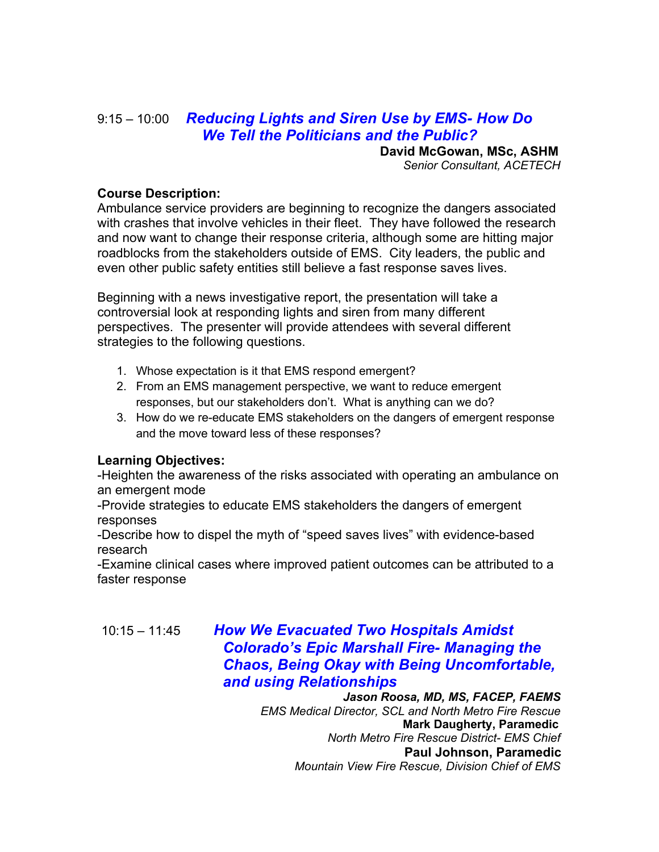# 9:15 – 10:00 *Reducing Lights and Siren Use by EMS- How Do We Tell the Politicians and the Public?*

**David McGowan, MSc, ASHM**

 *Senior Consultant, ACETECH*

#### **Course Description:**

Ambulance service providers are beginning to recognize the dangers associated with crashes that involve vehicles in their fleet. They have followed the research and now want to change their response criteria, although some are hitting major roadblocks from the stakeholders outside of EMS. City leaders, the public and even other public safety entities still believe a fast response saves lives.

Beginning with a news investigative report, the presentation will take a controversial look at responding lights and siren from many different perspectives. The presenter will provide attendees with several different strategies to the following questions.

- 1. Whose expectation is it that EMS respond emergent?
- 2. From an EMS management perspective, we want to reduce emergent responses, but our stakeholders don't. What is anything can we do?
- 3. How do we re-educate EMS stakeholders on the dangers of emergent response and the move toward less of these responses?

#### **Learning Objectives:**

-Heighten the awareness of the risks associated with operating an ambulance on an emergent mode

-Provide strategies to educate EMS stakeholders the dangers of emergent responses

-Describe how to dispel the myth of "speed saves lives" with evidence-based research

-Examine clinical cases where improved patient outcomes can be attributed to a faster response

10:15 – 11:45 *How We Evacuated Two Hospitals Amidst Colorado's Epic Marshall Fire- Managing the Chaos, Being Okay with Being Uncomfortable, and using Relationships Jason Roosa, MD, MS, FACEP, FAEMS* 

*EMS Medical Director, SCL and North Metro Fire Rescue* **Mark Daugherty, Paramedic**  *North Metro Fire Rescue District- EMS Chief*  **Paul Johnson, Paramedic** *Mountain View Fire Rescue, Division Chief of EMS*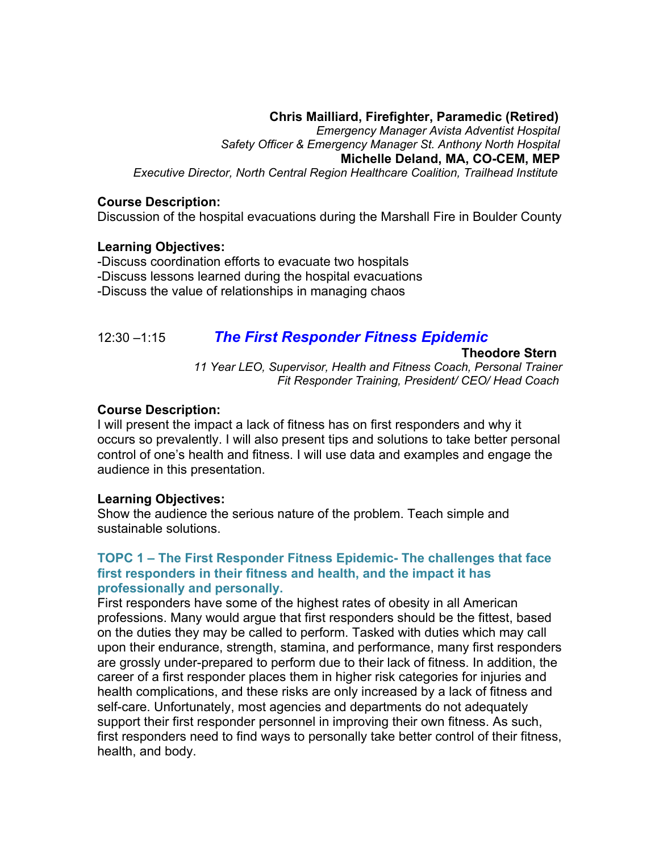#### **Chris Mailliard, Firefighter, Paramedic (Retired)**

*Emergency Manager Avista Adventist Hospital Safety Officer & Emergency Manager St. Anthony North Hospital* **Michelle Deland, MA, CO-CEM, MEP** *Executive Director, North Central Region Healthcare Coalition, Trailhead Institute*

#### **Course Description:**

Discussion of the hospital evacuations during the Marshall Fire in Boulder County

#### **Learning Objectives:**

-Discuss coordination efforts to evacuate two hospitals -Discuss lessons learned during the hospital evacuations -Discuss the value of relationships in managing chaos

#### 12:30 –1:15 *The First Responder Fitness Epidemic*

#### **Theodore Stern**

*11 Year LEO, Supervisor, Health and Fitness Coach, Personal Trainer* *Fit Responder Training, President/ CEO/ Head Coach*

#### **Course Description:**

I will present the impact a lack of fitness has on first responders and why it occurs so prevalently. I will also present tips and solutions to take better personal control of one's health and fitness. I will use data and examples and engage the audience in this presentation.

#### **Learning Objectives:**

Show the audience the serious nature of the problem. Teach simple and sustainable solutions.

#### **TOPC 1 – The First Responder Fitness Epidemic- The challenges that face first responders in their fitness and health, and the impact it has professionally and personally.**

First responders have some of the highest rates of obesity in all American professions. Many would argue that first responders should be the fittest, based on the duties they may be called to perform. Tasked with duties which may call upon their endurance, strength, stamina, and performance, many first responders are grossly under-prepared to perform due to their lack of fitness. In addition, the career of a first responder places them in higher risk categories for injuries and health complications, and these risks are only increased by a lack of fitness and self-care. Unfortunately, most agencies and departments do not adequately support their first responder personnel in improving their own fitness. As such, first responders need to find ways to personally take better control of their fitness, health, and body.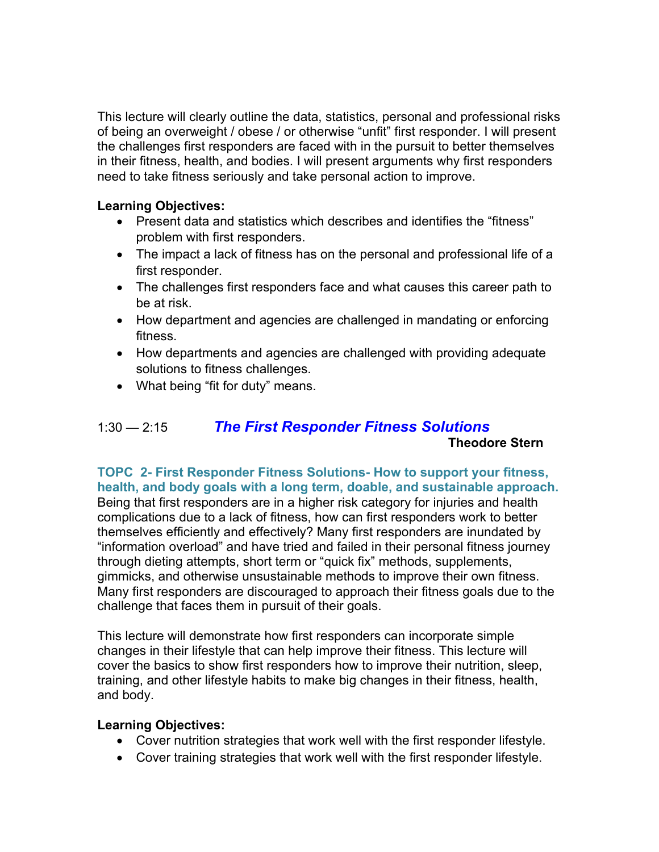This lecture will clearly outline the data, statistics, personal and professional risks of being an overweight / obese / or otherwise "unfit" first responder. I will present the challenges first responders are faced with in the pursuit to better themselves in their fitness, health, and bodies. I will present arguments why first responders need to take fitness seriously and take personal action to improve.

#### **Learning Objectives:**

- Present data and statistics which describes and identifies the "fitness" problem with first responders.
- The impact a lack of fitness has on the personal and professional life of a first responder.
- The challenges first responders face and what causes this career path to be at risk.
- How department and agencies are challenged in mandating or enforcing fitness.
- How departments and agencies are challenged with providing adequate solutions to fitness challenges.
- What being "fit for duty" means.

# 1:30 — 2:15 *The First Responder Fitness Solutions* **Theodore Stern**

**TOPC 2- First Responder Fitness Solutions- How to support your fitness, health, and body goals with a long term, doable, and sustainable approach.** Being that first responders are in a higher risk category for injuries and health complications due to a lack of fitness, how can first responders work to better themselves efficiently and effectively? Many first responders are inundated by "information overload" and have tried and failed in their personal fitness journey through dieting attempts, short term or "quick fix" methods, supplements, gimmicks, and otherwise unsustainable methods to improve their own fitness. Many first responders are discouraged to approach their fitness goals due to the challenge that faces them in pursuit of their goals.

This lecture will demonstrate how first responders can incorporate simple changes in their lifestyle that can help improve their fitness. This lecture will cover the basics to show first responders how to improve their nutrition, sleep, training, and other lifestyle habits to make big changes in their fitness, health, and body.

#### **Learning Objectives:**

- Cover nutrition strategies that work well with the first responder lifestyle.
- Cover training strategies that work well with the first responder lifestyle.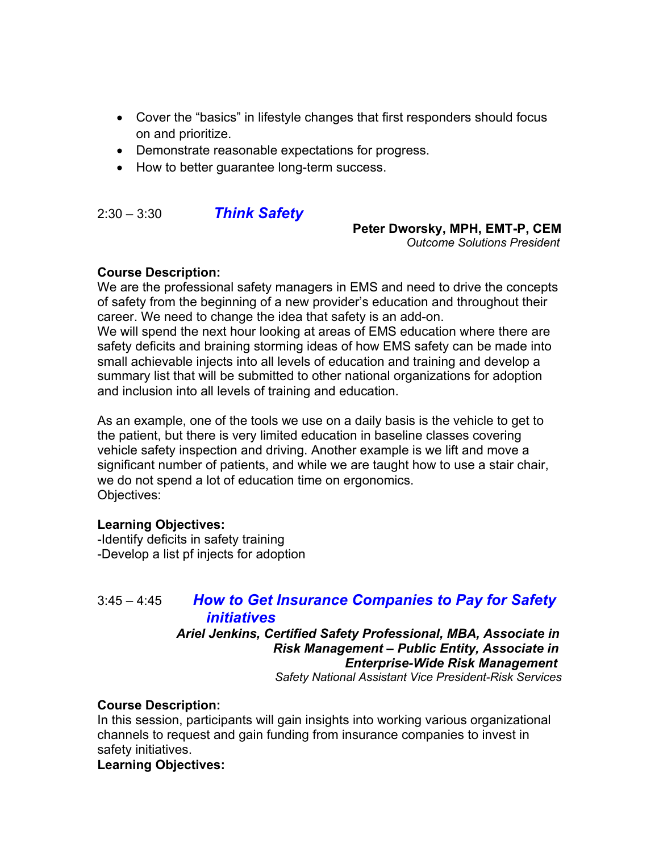- Cover the "basics" in lifestyle changes that first responders should focus on and prioritize.
- Demonstrate reasonable expectations for progress.
- How to better guarantee long-term success.

2:30 – 3:30 *Think Safety*

#### **Peter Dworsky, MPH, EMT-P, CEM**

*Outcome Solutions President*

#### **Course Description:**

We are the professional safety managers in EMS and need to drive the concepts of safety from the beginning of a new provider's education and throughout their career. We need to change the idea that safety is an add-on. We will spend the next hour looking at areas of EMS education where there are safety deficits and braining storming ideas of how EMS safety can be made into small achievable injects into all levels of education and training and develop a summary list that will be submitted to other national organizations for adoption and inclusion into all levels of training and education.

As an example, one of the tools we use on a daily basis is the vehicle to get to the patient, but there is very limited education in baseline classes covering vehicle safety inspection and driving. Another example is we lift and move a significant number of patients, and while we are taught how to use a stair chair, we do not spend a lot of education time on ergonomics. Objectives:

#### **Learning Objectives:**

-Identify deficits in safety training -Develop a list pf injects for adoption

#### 3:45 – 4:45 *How to Get Insurance Companies to Pay for Safety initiatives*

 *Ariel Jenkins, Certified Safety Professional, MBA, Associate in Risk Management – Public Entity, Associate in Enterprise-Wide Risk Management Safety National Assistant Vice President-Risk Services*

#### **Course Description:**

In this session, participants will gain insights into working various organizational channels to request and gain funding from insurance companies to invest in safety initiatives.

**Learning Objectives:**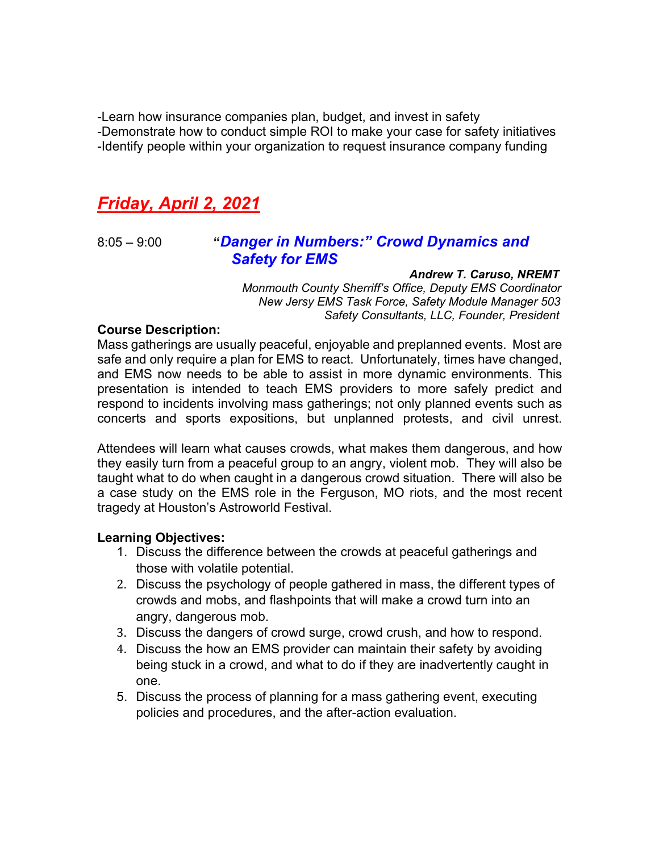-Learn how insurance companies plan, budget, and invest in safety -Demonstrate how to conduct simple ROI to make your case for safety initiatives -Identify people within your organization to request insurance company funding

# *Friday, April 2, 2021*

# 8:05 – 9:00 **"***Danger in Numbers:" Crowd Dynamics and Safety for EMS Andrew T. Caruso, NREMT*

 *Monmouth County Sherriff's Office, Deputy EMS Coordinator New Jersy EMS Task Force, Safety Module Manager 503 Safety Consultants, LLC, Founder, President*

#### **Course Description:**

Mass gatherings are usually peaceful, enjoyable and preplanned events. Most are safe and only require a plan for EMS to react. Unfortunately, times have changed, and EMS now needs to be able to assist in more dynamic environments. This presentation is intended to teach EMS providers to more safely predict and respond to incidents involving mass gatherings; not only planned events such as concerts and sports expositions, but unplanned protests, and civil unrest.

Attendees will learn what causes crowds, what makes them dangerous, and how they easily turn from a peaceful group to an angry, violent mob. They will also be taught what to do when caught in a dangerous crowd situation. There will also be a case study on the EMS role in the Ferguson, MO riots, and the most recent tragedy at Houston's Astroworld Festival.

#### **Learning Objectives:**

- 1. Discuss the difference between the crowds at peaceful gatherings and those with volatile potential.
- 2. Discuss the psychology of people gathered in mass, the different types of crowds and mobs, and flashpoints that will make a crowd turn into an angry, dangerous mob.
- 3. Discuss the dangers of crowd surge, crowd crush, and how to respond.
- 4. Discuss the how an EMS provider can maintain their safety by avoiding being stuck in a crowd, and what to do if they are inadvertently caught in one.
- 5. Discuss the process of planning for a mass gathering event, executing policies and procedures, and the after-action evaluation.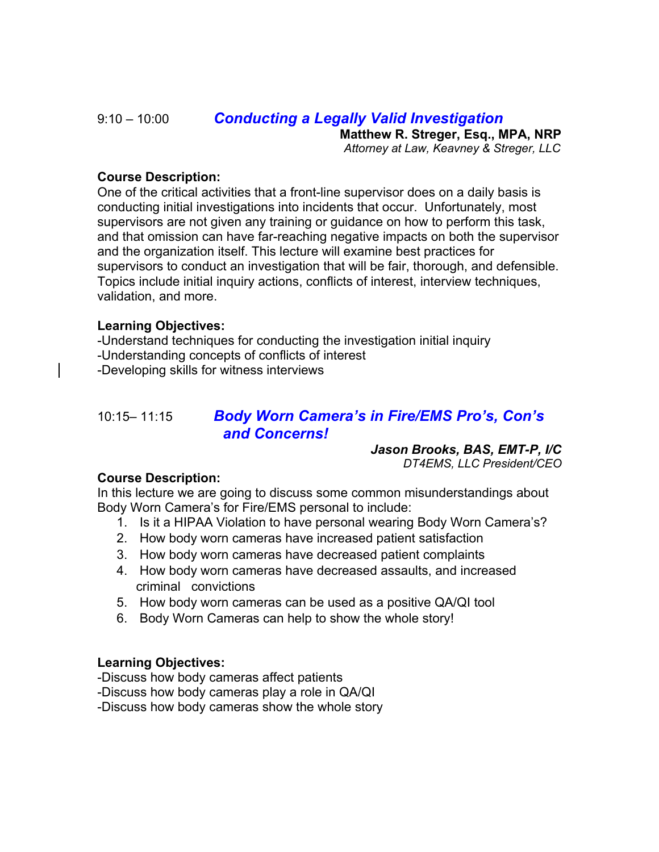# 9:10 – 10:00 *Conducting a Legally Valid Investigation*

 **Matthew R. Streger, Esq., MPA, NRP**

*Attorney at Law, Keavney & Streger, LLC*

#### **Course Description:**

One of the critical activities that a front-line supervisor does on a daily basis is conducting initial investigations into incidents that occur. Unfortunately, most supervisors are not given any training or guidance on how to perform this task, and that omission can have far-reaching negative impacts on both the supervisor and the organization itself. This lecture will examine best practices for supervisors to conduct an investigation that will be fair, thorough, and defensible. Topics include initial inquiry actions, conflicts of interest, interview techniques, validation, and more.

#### **Learning Objectives:**

-Understand techniques for conducting the investigation initial inquiry -Understanding concepts of conflicts of interest -Developing skills for witness interviews

### 10:15– 11:15 *Body Worn Camera's in Fire/EMS Pro's, Con's and Concerns!*

**Jason Brooks, BAS, EMT-P, I/C** *DT4EMS, LLC President/CEO*

#### **Course Description:**

In this lecture we are going to discuss some common misunderstandings about Body Worn Camera's for Fire/EMS personal to include:

- 1. Is it a HIPAA Violation to have personal wearing Body Worn Camera's?
- 2. How body worn cameras have increased patient satisfaction
- 3. How body worn cameras have decreased patient complaints
- 4. How body worn cameras have decreased assaults, and increased criminal convictions
- 5. How body worn cameras can be used as a positive QA/QI tool
- 6. Body Worn Cameras can help to show the whole story!

#### **Learning Objectives:**

-Discuss how body cameras affect patients

-Discuss how body cameras play a role in QA/QI

-Discuss how body cameras show the whole story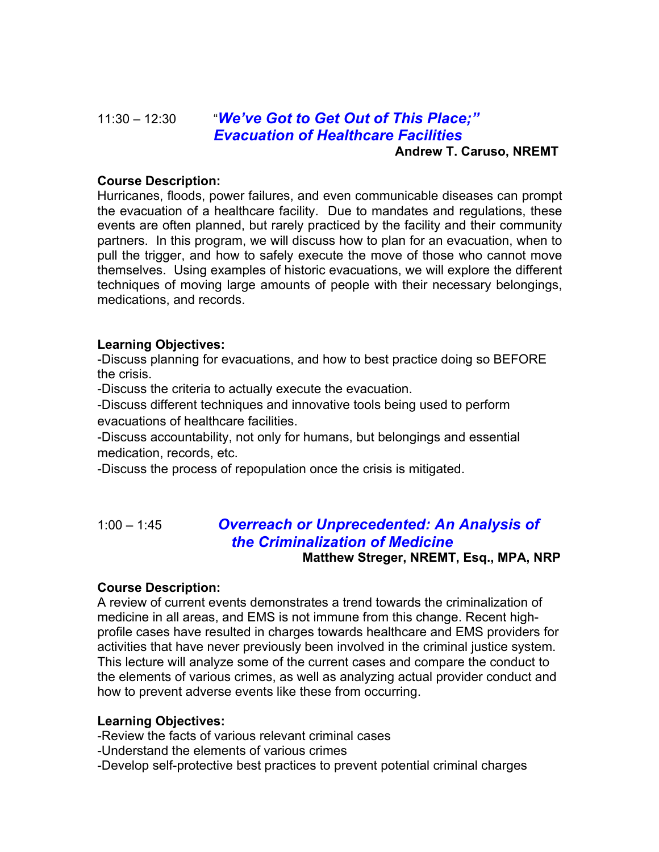# 11:30 – 12:30 "*We've Got to Get Out of This Place;" Evacuation of Healthcare Facilities*

 **Andrew T. Caruso, NREMT**

#### **Course Description:**

Hurricanes, floods, power failures, and even communicable diseases can prompt the evacuation of a healthcare facility. Due to mandates and regulations, these events are often planned, but rarely practiced by the facility and their community partners. In this program, we will discuss how to plan for an evacuation, when to pull the trigger, and how to safely execute the move of those who cannot move themselves. Using examples of historic evacuations, we will explore the different techniques of moving large amounts of people with their necessary belongings, medications, and records.

#### **Learning Objectives:**

-Discuss planning for evacuations, and how to best practice doing so BEFORE the crisis.

-Discuss the criteria to actually execute the evacuation.

-Discuss different techniques and innovative tools being used to perform evacuations of healthcare facilities.

-Discuss accountability, not only for humans, but belongings and essential medication, records, etc.

-Discuss the process of repopulation once the crisis is mitigated.

# 1:00 – 1:45 *Overreach or Unprecedented: An Analysis of the Criminalization of Medicine*

**Matthew Streger, NREMT, Esq., MPA, NRP**

#### **Course Description:**

A review of current events demonstrates a trend towards the criminalization of medicine in all areas, and EMS is not immune from this change. Recent highprofile cases have resulted in charges towards healthcare and EMS providers for activities that have never previously been involved in the criminal justice system. This lecture will analyze some of the current cases and compare the conduct to the elements of various crimes, as well as analyzing actual provider conduct and how to prevent adverse events like these from occurring.

#### **Learning Objectives:**

-Review the facts of various relevant criminal cases

-Understand the elements of various crimes

-Develop self-protective best practices to prevent potential criminal charges